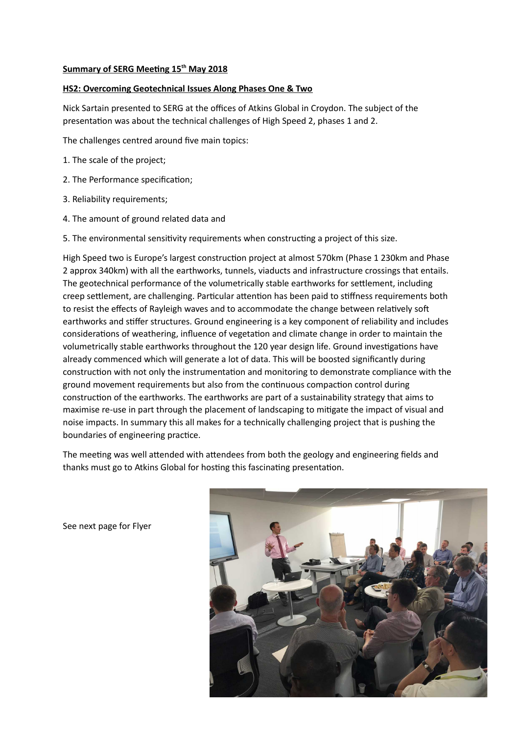## **Summary of SERG Meeting 15th May 2018**

## **HS2: Overcoming Geotechnical Issues Along Phases One & Two**

Nick Sartain presented to SERG at the offices of Atkins Global in Croydon. The subject of the presentation was about the technical challenges of High Speed 2, phases 1 and 2.

The challenges centred around five main topics:

- 1. The scale of the project;
- 2. The Performance specification;
- 3. Reliability requirements;
- 4. The amount of ground related data and
- 5. The environmental sensitivity requirements when constructing a project of this size.

High Speed two is Europe's largest construction project at almost 570km (Phase 1 230km and Phase 2 approx 340km) with all the earthworks, tunnels, viaducts and infrastructure crossings that entails. The geotechnical performance of the volumetrically stable earthworks for settlement, including creep settlement, are challenging. Particular attention has been paid to stiffness requirements both to resist the effects of Rayleigh waves and to accommodate the change between relatively soft earthworks and stiffer structures. Ground engineering is a key component of reliability and includes considerations of weathering, influence of vegetation and climate change in order to maintain the volumetrically stable earthworks throughout the 120 year design life. Ground investigations have already commenced which will generate a lot of data. This will be boosted significantly during construction with not only the instrumentation and monitoring to demonstrate compliance with the ground movement requirements but also from the continuous compaction control during construction of the earthworks. The earthworks are part of a sustainability strategy that aims to maximise re-use in part through the placement of landscaping to mitigate the impact of visual and noise impacts. In summary this all makes for a technically challenging project that is pushing the boundaries of engineering practice.

The meeting was well attended with attendees from both the geology and engineering fields and thanks must go to Atkins Global for hosting this fascinating presentation.



See next page for Flyer